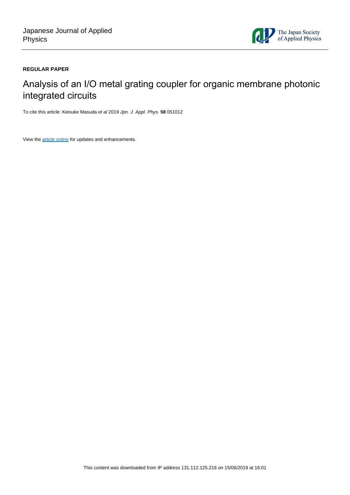

### **REGULAR PAPER**

# Analysis of an I/O metal grating coupler for organic membrane photonic integrated circuits

To cite this article: Keisuke Masuda et al 2019 Jpn. J. Appl. Phys. **58** 051012

View the [article online](https://doi.org/10.7567/1347-4065/ab1336) for updates and enhancements.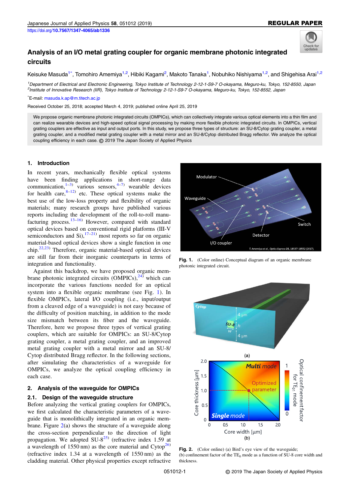

## <span id="page-1-0"></span>Analysis of an I/O metal grating coupler for organic membrane photonic integrated circuits

Keisuke Masuda<sup>1\*</sup>, Tomohiro Amemiya<sup>1,2</sup>, Hibiki Kagami<sup>2</sup>, Makoto Tanaka<sup>1</sup>, Nobuhiko Nishiyama<sup>1,2</sup>, and Shigehisa Arai<sup>1,2</sup>

1 Department of Electrical and Electronic Engineering, Tokyo Institute of Technology 2-12-1-S9-7 O-okayama, Meguro-ku, Tokyo, 152-8550, Japan 2 Institute of Innovative Research (IIR), Tokyo Institute of Technology 2-12-1-S9-7 O-okayama, Meguro-ku, Tokyo, 152-8552, Japan

\* E-mail: [masuda.k.ap@m.titech.ac.jp](mailto:masuda.k.ap@m.titech.ac.jp)

Received October 25, 2018; accepted March 4, 2019; published online April 25, 2019

We propose organic membrane photonic integrated circuits (OMPICs), which can collectively integrate various optical elements into a thin film and can realize wearable devices and high-speed optical signal processing by making more flexible photonic integrated circuits. In OMPICs, vertical grating couplers are effective as input and output ports. In this study, we propose three types of structure: an SU-8/Cytop grating coupler, a metal grating coupler, and a modified metal grating coupler with a metal mirror and an SU-8/Cytop distributed Bragg reflector. We analyze the optical coupling efficiency in each case. © 2019 The Japan Society of Applied Physics

#### 1. Introduction

In recent years, mechanically flexible optical systems have been finding applications in short-range data communication, $1-3$  $1-3$  $1-3$  various sensors, $4-7$  $4-7$  wearable devices for health care, $8-12$  $8-12$  etc. These optical systems make the best use of the low-loss property and flexibility of organic materials; many research groups have published various reports including the development of the roll-to-roll manufacturing process.[13](#page-5-0)–[16](#page-5-0)) However, compared with standard optical devices based on conventional rigid platforms (III-V semiconductors and Si), $17-21$  $17-21$  $17-21$  most reports so far on organic material-based optical devices show a single function in one  $\text{chip.}^{22,23)}$  $\text{chip.}^{22,23)}$  $\text{chip.}^{22,23)}$  Therefore, organic material-based optical devices are still far from their inorganic counterparts in terms of integration and functionality.

Against this backdrop, we have proposed organic membrane photonic integrated circuits  $(OMPICs)$ ,  $^{24}$  $^{24}$  $^{24}$  which can incorporate the various functions needed for an optical system into a flexible organic membrane (see Fig. 1). In flexible OMPICs, lateral I/O coupling (i.e., input/output from a cleaved edge of a waveguide) is not easy because of the difficulty of position matching, in addition to the mode size mismatch between its fiber and the waveguide. Therefore, here we propose three types of vertical grating couplers, which are suitable for OMPICs: an SU-8/Cytop grating coupler, a metal grating coupler, and an improved metal grating coupler with a metal mirror and an SU-8/ Cytop distributed Bragg reflector. In the following sections, after simulating the characteristics of a waveguide for OMPICs, we analyze the optical coupling efficiency in each case.

#### 2. Analysis of the waveguide for OMPICs

#### 2.1. Design of the waveguide structure

Before analyzing the vertical grating couplers for OMPICs, we first calculated the characteristic parameters of a waveguide that is monolithically integrated in an organic membrane. Figure  $2(a)$  shows the structure of a waveguide along the cross-section perpendicular to the direction of light propagation. We adopted  $SU-8^{25}$  $SU-8^{25}$  $SU-8^{25}$  (refractive index 1.59 at a wavelength of 1550 nm) as the core material and  $\text{Cytop}^{26}$  $\text{Cytop}^{26}$  $\text{Cytop}^{26}$ (refractive index 1.34 at a wavelength of 1550 nm) as the cladding material. Other physical properties except refractive



Fig. 1. (Color online) Conceptual diagram of an organic membrane photonic integrated circuit.



Fig. 2. (Color online) (a) Bird's eye view of the waveguide; (b) confinement factor of the  $TE_0$  mode as a function of SU-8 core width and thickness.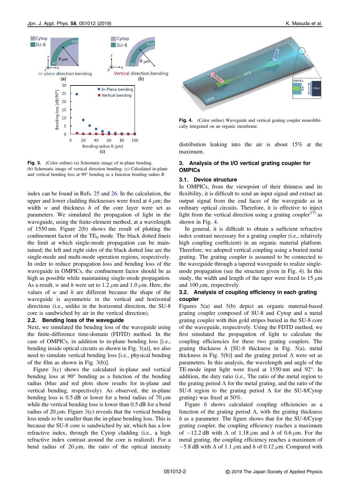<span id="page-2-0"></span>

Fig. 3. (Color online) (a) Schematic image of in-plane bending. (b) Schematic image of vertical direction bending. (c) Calculated in-plane and vertical bending loss at 90° bending as a function bending radius R.

index can be found in Refs. [25](#page-5-0) and [26](#page-5-0). In the calculation, the upper and lower cladding thicknesses were fixed at  $4 \mu m$ ; the width  $w$  and thickness  $h$  of the core layer were set as parameters. We simulated the propagation of light in the waveguide, using the finite-element method, at a wavelength of 1550 nm. Figure [2](#page-1-0)(b) shows the result of plotting the confinement factor of the  $TE_0$  mode. The black dotted lineis the limit at which single-mode propagation can be maintained; the left and right sides of the black dotted line are the single-mode and multi-mode operation regions, respectively. In order to reduce propagation loss and bending loss of the waveguide in OMPICs, the confinement factor should be as high as possible while maintaining single-mode propagation. As a result, w and h were set to 1.2  $\mu$ m and 1.0  $\mu$ m. Here, the values of  $w$  and  $h$  are different because the shape of the waveguide is asymmetric in the vertical and horizontal directions (i.e., unlike in the horizontal direction, the SU-8 core is sandwiched by air in the vertical direction).

#### 2.2. Bending loss of the waveguide

Next, we simulated the bending loss of the waveguide using the finite-difference time-domain (FDTD) method. In the case of OMPICs, in addition to in-plane bending loss [i.e., bending inside optical circuits as shown in Fig.  $3(a)$ ], we also need to simulate vertical bending loss [i.e., physical bending of the film as shown in Fig. 3(b)].

Figure 3(c) shows the calculated in-plane and vertical bending loss at 90° bending as a function of the bending radius (blue and red plots show results for in-plane and vertical bending, respectively). As observed, the in-plane bending loss is  $0.5$  dB or lower for a bend radius of  $70 \mu m$ while the vertical bending loss is lower than 0.5 dB for a bend radius of 20  $\mu$ m. Figure 3(c) reveals that the vertical bending loss tends to be smaller than the in-plane bending loss. This is because the SU-8 core is sandwiched by air, which has a low refractive index, through the Cytop cladding (i.e., a high refractive index contrast around the core is realized). For a bend radius of 20  $\mu$ m, the ratio of the optical intensity



Fig. 4. (Color online) Waveguide and vertical grating coupler monolithically integrated on an organic membrane.

distribution leaking into the air is about 15% at the maximum.

#### 3. Analysis of the I/O vertical grating coupler for OMPICs

#### 3.1. Device structure

In OMPICs, from the viewpoint of their thinness and its flexibility, it is difficult to send an input signal and extract an output signal from the end faces of the waveguide as in ordinary optical circuits. Therefore, it is effective to inject light from the vertical direction using a grating coupler<sup>[27\)](#page-5-0)</sup> as shown in Fig. 4.

In general, it is difficult to obtain a sufficient refractive index contrast necessary for a grating coupler (i.e., relatively high coupling coefficient) in an organic material platform. Therefore, we adopted vertical coupling using a buried metal grating. The grating coupler is assumed to be connected to the waveguide through a tapered waveguide to realize singlemode propagation (see the structure given in Fig. 4). In this study, the width and length of the taper were fixed to 15  $\mu$ m and 100  $\mu$ m, respectively.

#### 3.2. Analysis of coupling efficiency in each grating coupler

Figures [5](#page-3-0)(a) and [5](#page-3-0)(b) depict an organic material-based grating coupler composed of SU-8 and Cytop and a metal grating coupler with thin gold stripes buried in the SU-8 core of the waveguide, respectively. Using the FDTD method, we first simulated the propagation of light to calculate the coupling efficiencies for these two grating couplers. The grating thickness  $h$  [SU-8 thickness in Fig. [5](#page-3-0)(a), metal thickness in Fig.  $5(b)$  $5(b)$ ] and the grating period  $\Lambda$  were set as parameters. In this analysis, the wavelength and angle of the TE-mode input light were fixed at 1550 nm and 92°. In addition, the duty ratio (i.e., The ratio of the metal region to the grating period  $\Lambda$  for the metal grating, and the ratio of the SU-8 region to the grating period  $\Lambda$  for the SU-8/Cytop grating) was fixed at 50%.

Figure [6](#page-3-0) shows calculated coupling efficiencies as a function of the grating period Λ, with the grating thickness h as a parameter. The figure shows that for the SU-8/Cytop grating coupler, the coupling efficiency reaches a maximum of  $-12.2$  dB with  $\Lambda$  of 1.18  $\mu$ m and h of 0.6  $\mu$ m. For the metal grating, the coupling efficiency reaches a maximum of  $-5.8$  dB with  $\Lambda$  of 1.1  $\mu$ m and h of 0.12  $\mu$ m. Compared with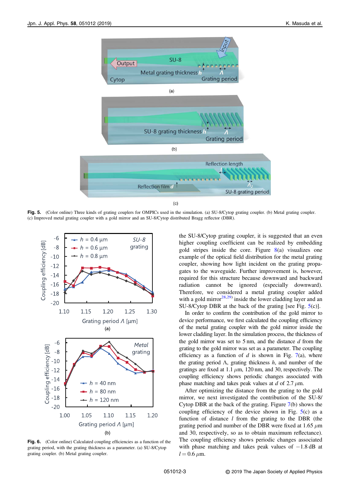<span id="page-3-0"></span>

Fig. 5. (Color online) Three kinds of grating couplers for OMPICs used in the simulation. (a) SU-8/Cytop grating coupler. (b) Metal grating coupler. (c) Improved metal grating coupler with a gold mirror and an SU-8/Cytop distributed Bragg reflector (DBR).



Fig. 6. (Color online) Calculated coupling efficiencies as a function of the grating period, with the grating thickness as a parameter. (a) SU-8/Cytop grating coupler. (b) Metal grating coupler.

the SU-8/Cytop grating coupler, it is suggested that an even higher coupling coefficient can be realized by embedding gold stripes inside the core. Figure [8\(](#page-4-0)a) visualizes one example of the optical field distribution for the metal grating coupler, showing how light incident on the grating propagates to the waveguide. Further improvement is, however, required for this structure because downward and backward radiation cannot be ignored (especially downward). Therefore, we considered a metal grating coupler added with a gold mirror $^{28,29)}$  $^{28,29)}$  $^{28,29)}$  inside the lower cladding layer and an SU-8/Cytop DBR at the back of the grating [see Fig. 5(c)].

In order to confirm the contribution of the gold mirror to device performance, we first calculated the coupling efficiency of the metal grating coupler with the gold mirror inside the lower cladding layer. In the simulation process, the thickness of the gold mirror was set to  $5 \text{ nm}$ , and the distance  $d$  from the grating to the gold mirror was set as a parameter. The coupling efficiency as a function of  $d$  is shown in Fig. [7](#page-4-0)(a), where the grating period  $\Lambda$ , grating thickness  $h$ , and number of the gratings are fixed at 1.1  $\mu$ m, 120 nm, and 30, respectively. The coupling efficiency shows periodic changes associated with phase matching and takes peak values at d of 2.7  $\mu$ m.

After optimizing the distance from the grating to the gold mirror, we next investigated the contribution of the SU-8/ Cytop DBR at the back of the grating. Figure [7](#page-4-0)(b) shows the coupling efficiency of the device shown in Fig.  $5(c)$  as a function of distance  $l$  from the grating to the DBR (the grating period and number of the DBR were fixed at 1.65  $\mu$ m and 30, respectively, so as to obtain maximum reflectance). The coupling efficiency shows periodic changes associated with phase matching and takes peak values of  $-1.8$  dB at  $l = 0.6 \mu m$ .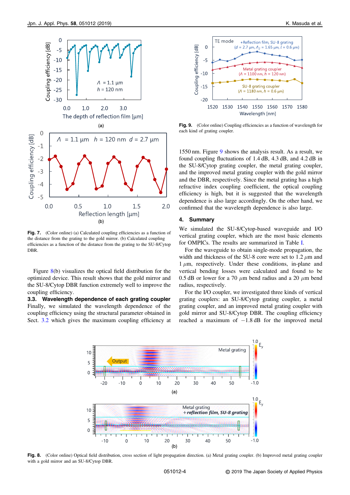<span id="page-4-0"></span>

Fig. 7. (Color online) (a) Calculated coupling efficiencies as a function of the distance from the grating to the gold mirror. (b) Calculated coupling efficiencies as a function of the distance from the grating to the SU-8/Cytop DBR.

Figure 8(b) visualizes the optical field distribution for the optimized device. This result shows that the gold mirror and the SU-8/Cytop DBR function extremely well to improve the coupling efficiency.

3.3. Wavelength dependence of each grating coupler Finally, we simulated the wavelength dependence of the coupling efficiency using the structural parameter obtained in Sect. [3.2](#page-2-0) which gives the maximum coupling efficiency at



Fig. 9. (Color online) Coupling efficiencies as a function of wavelength for each kind of grating coupler.

1550 nm. Figure 9 shows the analysis result. As a result, we found coupling fluctuations of 1.4 dB, 4.3 dB, and 4.2 dB in the SU-8/Cytop grating coupler, the metal grating coupler, and the improved metal grating coupler with the gold mirror and the DBR, respectively. Since the metal grating has a high refractive index coupling coefficient, the optical coupling efficiency is high, but it is suggested that the wavelength dependence is also large accordingly. On the other hand, we confirmed that the wavelength dependence is also large.

#### 4. Summary

We simulated the SU-8/Cytop-based waveguide and I/O vertical grating coupler, which are the most basic elements for OMPICs. The results are summarized in Table [I](#page-5-0).

For the waveguide to obtain single-mode propagation, the width and thickness of the SU-8 core were set to  $1.2 \mu m$  and  $1 \mu$ m, respectively. Under these conditions, in-plane and vertical bending losses were calculated and found to be 0.5 dB or lower for a 70  $\mu$ m bend radius and a 20  $\mu$ m bend radius, respectively.

For the I/O coupler, we investigated three kinds of vertical grating couplers: an SU-8/Cytop grating coupler, a metal grating coupler, and an improved metal grating coupler with gold mirror and SU-8/Cytop DBR. The coupling efficiency reached a maximum of  $-1.8$  dB for the improved metal



Fig. 8. (Color online) Optical field distribution, cross section of light propagation direction. (a) Metal grating coupler. (b) Improved metal grating coupler with a gold mirror and an SU-8/Cytop DBR.